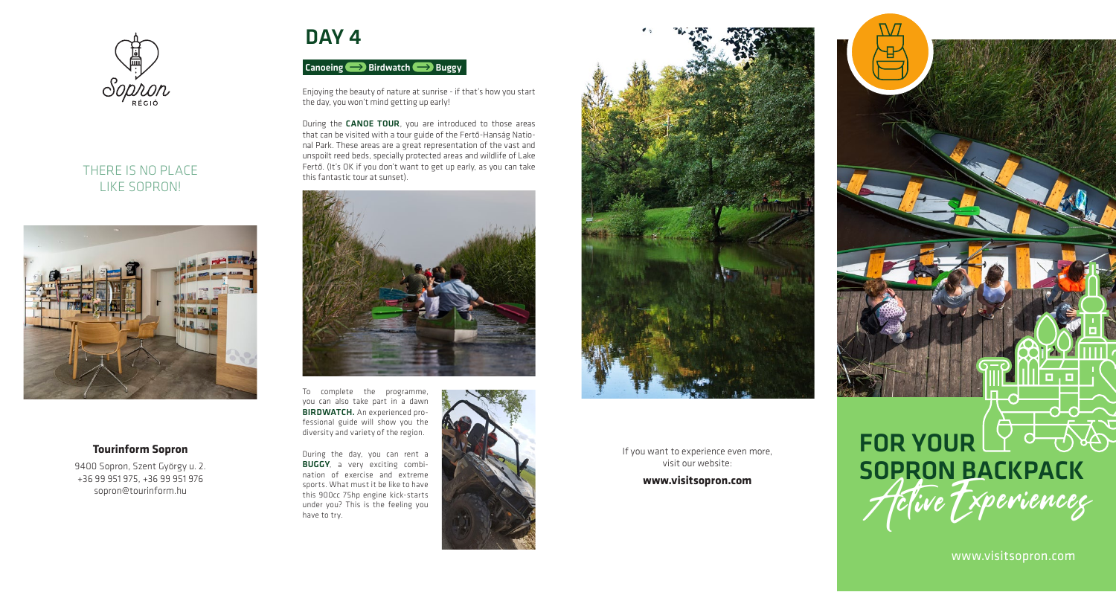

## THERE IS NO PLACE LIKE SOPRON!



#### **Tourinform Sopron**

9400 Sopron, Szent György u. 2. +36 99 951 975, +36 99 951 976 sopron@tourinform.hu

# DAY<sub>4</sub>

## Canoeing Birdwatch Buggy

Enjoying the beauty of nature at sunrise - if that's how you start the day, you won't mind getting up early!

During the **CANOE TOUR**, you are introduced to those areas that can be visited with a tour guide of the Fertő-Hanság National Park. These areas are a great representation of the vast and unspoilt reed beds, specially protected areas and wildlife of Lake Fertő. (It's OK if you don't want to get up early, as you can take this fantastic tour at sunset).



To complete the programme, you can also take part in a dawn BIRDWATCH. An experienced professional guide will show you the diversity and variety of the region.

During the day, you can rent a **BUGGY**, a very exciting combination of exercise and extreme sports. What must it be like to have this 900cc 75hp engine kick-starts under you? This is the feeling you have to try.





If you want to experience even more, visit our website: **www.visitsopron.com** 

# FOR YOUR LY de des Active Txperienceg

www.visitsopron.com